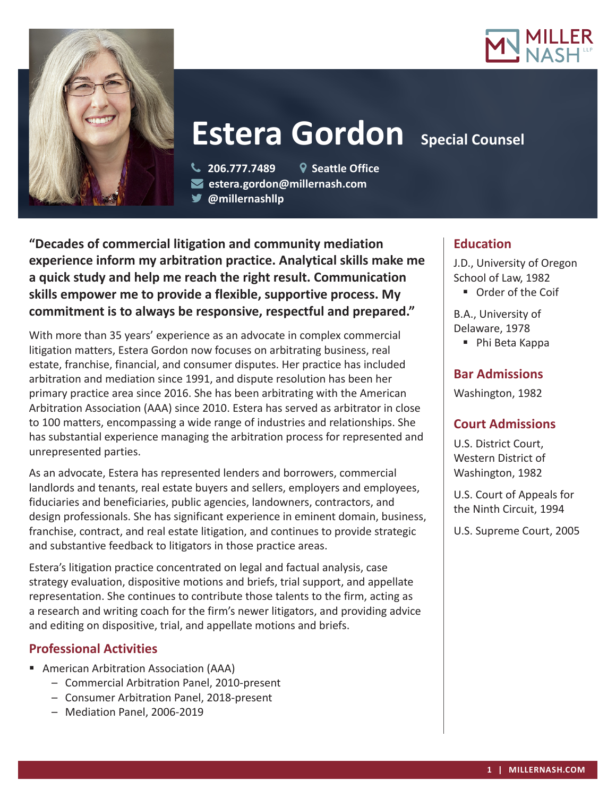



# **Estera Gordon Special Counsel**

 **206.777.7489 Seattle Office estera.gordon@millernash.com** 

**@millernashllp** 

**"Decades of commercial litigation and community mediation experience inform my arbitration practice. Analytical skills make me a quick study and help me reach the right result. Communication skills empower me to provide a flexible, supportive process. My commitment is to always be responsive, respectful and prepared."**

With more than 35 years' experience as an advocate in complex commercial litigation matters, Estera Gordon now focuses on arbitrating business, real estate, franchise, financial, and consumer disputes. Her practice has included arbitration and mediation since 1991, and dispute resolution has been her primary practice area since 2016. She has been arbitrating with the American Arbitration Association (AAA) since 2010. Estera has served as arbitrator in close to 100 matters, encompassing a wide range of industries and relationships. She has substantial experience managing the arbitration process for represented and unrepresented parties.

As an advocate, Estera has represented lenders and borrowers, commercial landlords and tenants, real estate buyers and sellers, employers and employees, fiduciaries and beneficiaries, public agencies, landowners, contractors, and design professionals. She has significant experience in eminent domain, business, franchise, contract, and real estate litigation, and continues to provide strategic and substantive feedback to litigators in those practice areas.

Estera's litigation practice concentrated on legal and factual analysis, case strategy evaluation, dispositive motions and briefs, trial support, and appellate representation. She continues to contribute those talents to the firm, acting as a research and writing coach for the firm's newer litigators, and providing advice and editing on dispositive, trial, and appellate motions and briefs.

# **Professional Activities**

- American Arbitration Association (AAA)
	- Commercial Arbitration Panel, 2010-present
	- Consumer Arbitration Panel, 2018-present
	- Mediation Panel, 2006-2019

# **Education**

J.D., University of Oregon School of Law, 1982

■ Order of the Coif

B.A., University of Delaware, 1978

■ Phi Beta Kappa

## **Bar Admissions**

Washington, 1982

# **Court Admissions**

U.S. District Court, Western District of Washington, 1982

U.S. Court of Appeals for the Ninth Circuit, 1994

U.S. Supreme Court, 2005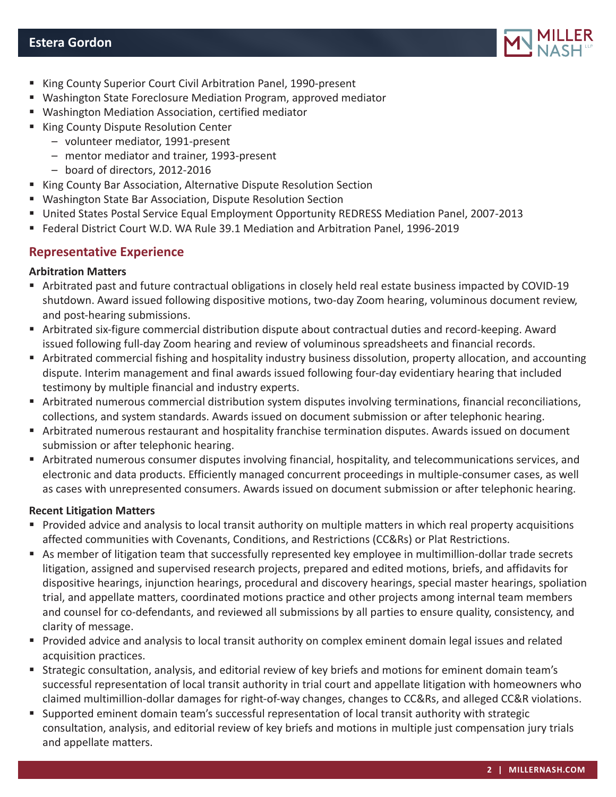

- King County Superior Court Civil Arbitration Panel, 1990-present
- Washington State Foreclosure Mediation Program, approved mediator
- Washington Mediation Association, certified mediator
- King County Dispute Resolution Center
	- volunteer mediator, 1991-present
	- mentor mediator and trainer, 1993-present
	- board of directors, 2012-2016
- King County Bar Association, Alternative Dispute Resolution Section
- Washington State Bar Association, Dispute Resolution Section
- United States Postal Service Equal Employment Opportunity REDRESS Mediation Panel, 2007-2013
- Federal District Court W.D. WA Rule 39.1 Mediation and Arbitration Panel, 1996-2019

### **Representative Experience**

#### **Arbitration Matters**

- Arbitrated past and future contractual obligations in closely held real estate business impacted by COVID-19 shutdown. Award issued following dispositive motions, two-day Zoom hearing, voluminous document review, and post-hearing submissions.
- Arbitrated six-figure commercial distribution dispute about contractual duties and record-keeping. Award issued following full-day Zoom hearing and review of voluminous spreadsheets and financial records.
- Arbitrated commercial fishing and hospitality industry business dissolution, property allocation, and accounting dispute. Interim management and final awards issued following four-day evidentiary hearing that included testimony by multiple financial and industry experts.
- Arbitrated numerous commercial distribution system disputes involving terminations, financial reconciliations, collections, and system standards. Awards issued on document submission or after telephonic hearing.
- Arbitrated numerous restaurant and hospitality franchise termination disputes. Awards issued on document submission or after telephonic hearing.
- Arbitrated numerous consumer disputes involving financial, hospitality, and telecommunications services, and electronic and data products. Efficiently managed concurrent proceedings in multiple-consumer cases, as well as cases with unrepresented consumers. Awards issued on document submission or after telephonic hearing.

#### **Recent Litigation Matters**

- Provided advice and analysis to local transit authority on multiple matters in which real property acquisitions affected communities with Covenants, Conditions, and Restrictions (CC&Rs) or Plat Restrictions.
- As member of litigation team that successfully represented key employee in multimillion-dollar trade secrets litigation, assigned and supervised research projects, prepared and edited motions, briefs, and affidavits for dispositive hearings, injunction hearings, procedural and discovery hearings, special master hearings, spoliation trial, and appellate matters, coordinated motions practice and other projects among internal team members and counsel for co-defendants, and reviewed all submissions by all parties to ensure quality, consistency, and clarity of message.
- Provided advice and analysis to local transit authority on complex eminent domain legal issues and related acquisition practices.
- Strategic consultation, analysis, and editorial review of key briefs and motions for eminent domain team's successful representation of local transit authority in trial court and appellate litigation with homeowners who claimed multimillion-dollar damages for right-of-way changes, changes to CC&Rs, and alleged CC&R violations.
- Supported eminent domain team's successful representation of local transit authority with strategic consultation, analysis, and editorial review of key briefs and motions in multiple just compensation jury trials and appellate matters.